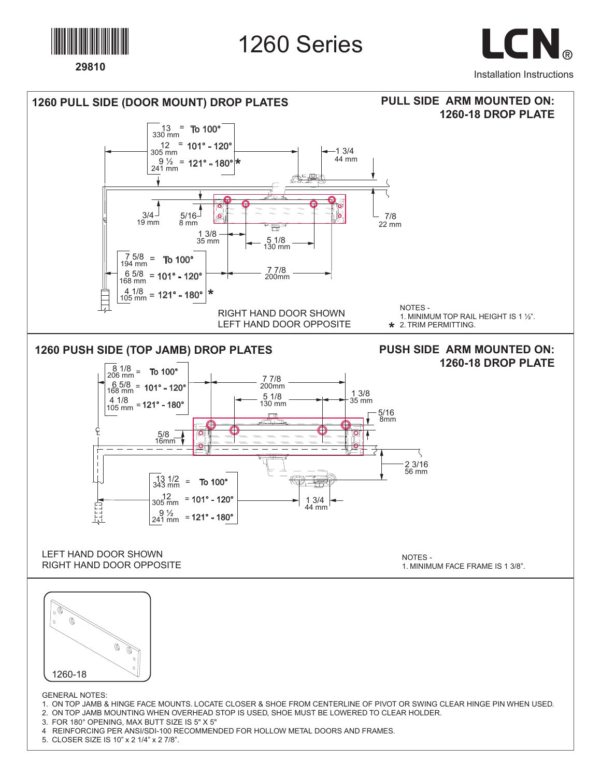

## 1260 Series

LCN. Installation Instructions





GENERAL NOTES:

- 1. ON TOP JAMB & HINGE FACE MOUNTS. LOCATE CLOSER & SHOE FROM CENTERLINE OF PIVOT OR SWING CLEAR HINGE PIN WHEN USED.
- 2. ON TOP JAMB MOUNTING WHEN OVERHEAD STOP IS USED, SHOE MUST BE LOWERED TO CLEAR HOLDER.

3. FOR 180° OPENING, MAX BUTT SIZE IS 5" X 5"

- 4 REINFORCING PER ANSI/SDI-100 RECOMMENDED FOR HOLLOW METAL DOORS AND FRAMES.
- 5. CLOSER SIZE IS 10" x 2 1/4" x 2 7/8".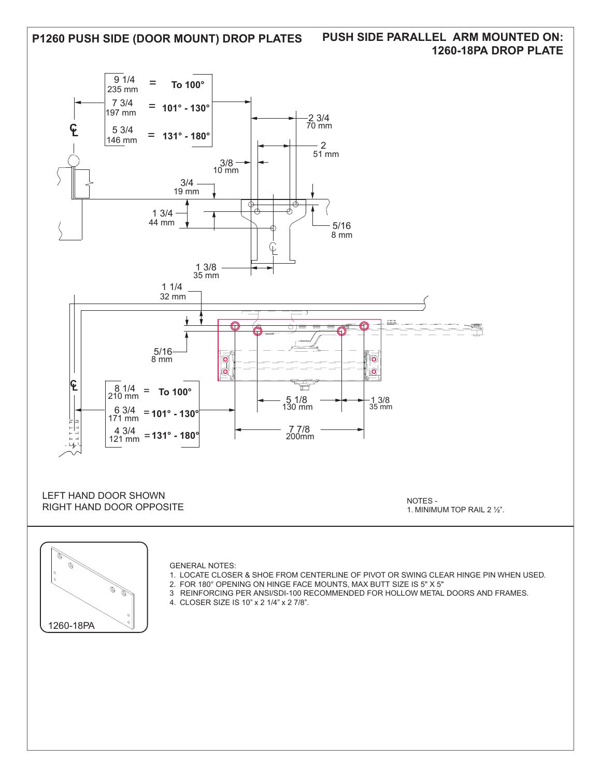

## **PUSH SIDE PARALLEL ARM MOUNTED ON: 1260-18PA DROP PLATE**



- 1. LOCATE CLOSER & SHOE FROM CENTERLINE OF PIVOT OR SWING CLEAR HINGE PIN WHEN USED.
	- 2. FOR 180° OPENING ON HINGE FACE MOUNTS, MAX BUTT SIZE IS 5" X 5"
- 3 REINFORCING PER ANSI/SDI-100 RECOMMENDED FOR HOLLOW METAL DOORS AND FRAMES.
- 4. CLOSER SIZE IS 10" x 2 1/4" x 2 7/8".

1260-18PA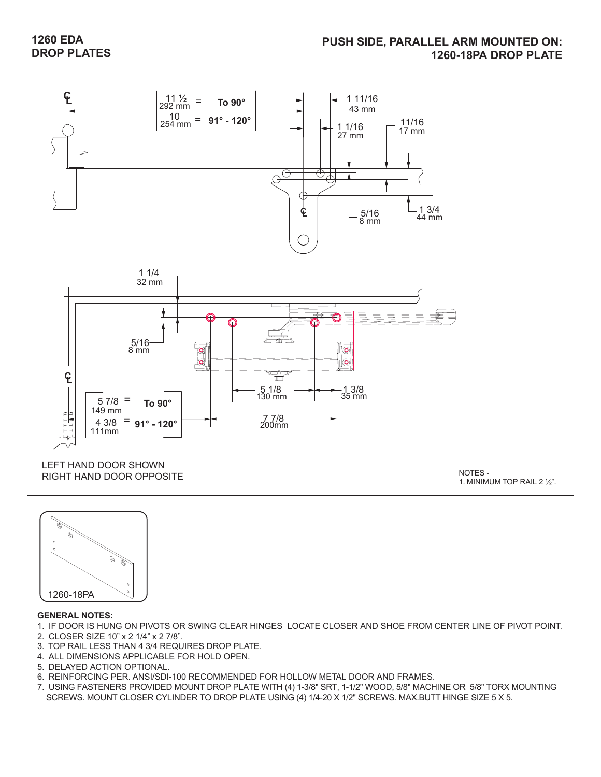